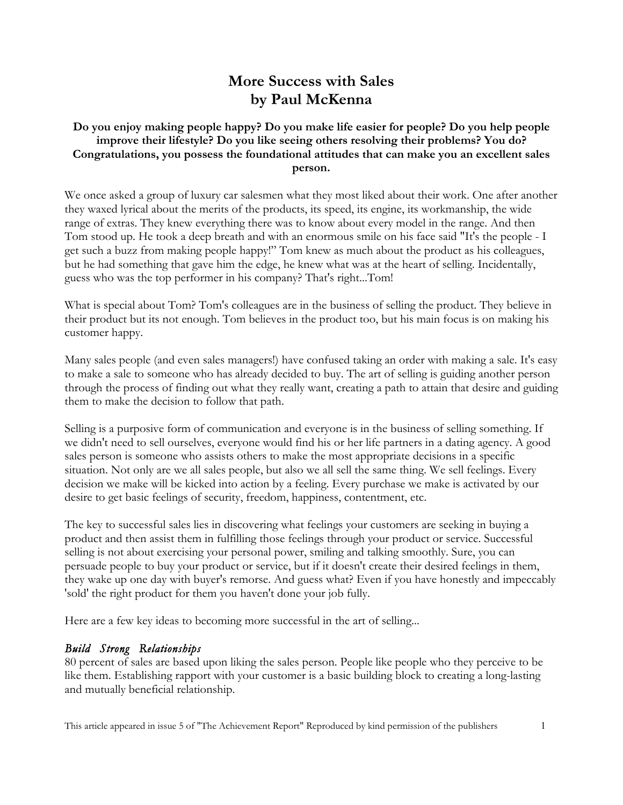# **More Success with Sales by Paul McKenna**

#### **Do you enjoy making people happy? Do you make life easier for people? Do you help people improve their lifestyle? Do you like seeing others resolving their problems? You do? Congratulations, you possess the foundational attitudes that can make you an excellent sales person.**

We once asked a group of luxury car salesmen what they most liked about their work. One after another they waxed lyrical about the merits of the products, its speed, its engine, its workmanship, the wide range of extras. They knew everything there was to know about every model in the range. And then Tom stood up. He took a deep breath and with an enormous smile on his face said "It's the people - I get such a buzz from making people happy!" Tom knew as much about the product as his colleagues, but he had something that gave him the edge, he knew what was at the heart of selling. Incidentally, guess who was the top performer in his company? That's right...Tom!

What is special about Tom? Tom's colleagues are in the business of selling the product. They believe in their product but its not enough. Tom believes in the product too, but his main focus is on making his customer happy.

Many sales people (and even sales managers!) have confused taking an order with making a sale. It's easy to make a sale to someone who has already decided to buy. The art of selling is guiding another person through the process of finding out what they really want, creating a path to attain that desire and guiding them to make the decision to follow that path.

Selling is a purposive form of communication and everyone is in the business of selling something. If we didn't need to sell ourselves, everyone would find his or her life partners in a dating agency. A good sales person is someone who assists others to make the most appropriate decisions in a specific situation. Not only are we all sales people, but also we all sell the same thing. We sell feelings. Every decision we make will be kicked into action by a feeling. Every purchase we make is activated by our desire to get basic feelings of security, freedom, happiness, contentment, etc.

The key to successful sales lies in discovering what feelings your customers are seeking in buying a product and then assist them in fulfilling those feelings through your product or service. Successful selling is not about exercising your personal power, smiling and talking smoothly. Sure, you can persuade people to buy your product or service, but if it doesn't create their desired feelings in them, they wake up one day with buyer's remorse. And guess what? Even if you have honestly and impeccably 'sold' the right product for them you haven't done your job fully.

Here are a few key ideas to becoming more successful in the art of selling...

#### *Build Strong Relationships*

80 percent of sales are based upon liking the sales person. People like people who they perceive to be like them. Establishing rapport with your customer is a basic building block to creating a long-lasting and mutually beneficial relationship.

This article appeared in issue 5 of "The Achievement Report" Reproduced by kind permission of the publishers 1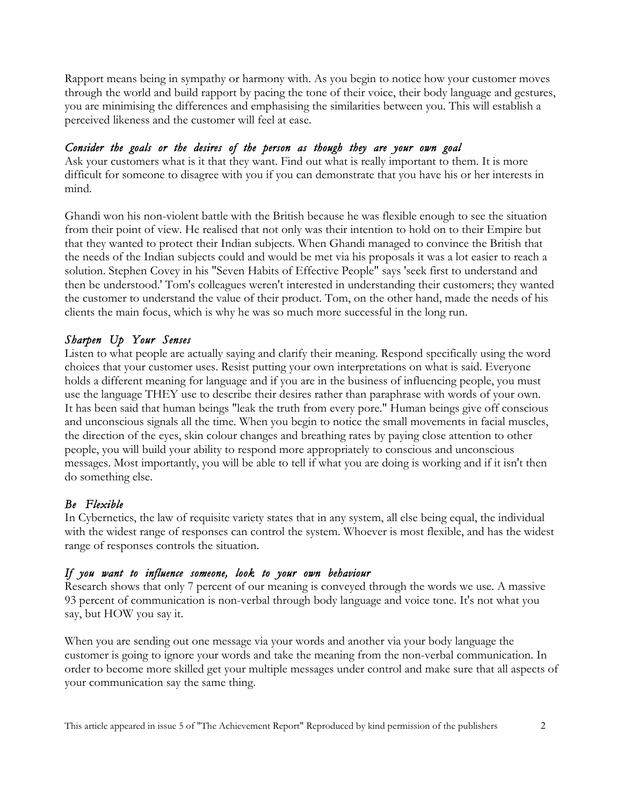Rapport means being in sympathy or harmony with. As you begin to notice how your customer moves through the world and build rapport by pacing the tone of their voice, their body language and gestures, you are minimising the differences and emphasising the similarities between you. This will establish a perceived likeness and the customer will feel at ease.

### *Consider the goals or the desires of the person as though they are your own goal*

Ask your customers what is it that they want. Find out what is really important to them. It is more difficult for someone to disagree with you if you can demonstrate that you have his or her interests in mind.

Ghandi won his non-violent battle with the British because he was flexible enough to see the situation from their point of view. He realised that not only was their intention to hold on to their Empire but that they wanted to protect their Indian subjects. When Ghandi managed to convince the British that the needs of the Indian subjects could and would be met via his proposals it was a lot easier to reach a solution. Stephen Covey in his "Seven Habits of Effective People" says 'seek first to understand and then be understood.' Tom's colleagues weren't interested in understanding their customers; they wanted the customer to understand the value of their product. Tom, on the other hand, made the needs of his clients the main focus, which is why he was so much more successful in the long run.

## *Sharpen Up Your Senses*

Listen to what people are actually saying and clarify their meaning. Respond specifically using the word choices that your customer uses. Resist putting your own interpretations on what is said. Everyone holds a different meaning for language and if you are in the business of influencing people, you must use the language THEY use to describe their desires rather than paraphrase with words of your own. It has been said that human beings "leak the truth from every pore." Human beings give off conscious and unconscious signals all the time. When you begin to notice the small movements in facial muscles, the direction of the eyes, skin colour changes and breathing rates by paying close attention to other people, you will build your ability to respond more appropriately to conscious and unconscious messages. Most importantly, you will be able to tell if what you are doing is working and if it isn't then do something else.

## *Be Flexible*

In Cybernetics, the law of requisite variety states that in any system, all else being equal, the individual with the widest range of responses can control the system. Whoever is most flexible, and has the widest range of responses controls the situation.

#### *If you want to influence someone, look to your own behaviour*

Research shows that only 7 percent of our meaning is conveyed through the words we use. A massive 93 percent of communication is non-verbal through body language and voice tone. It's not what you say, but HOW you say it.

When you are sending out one message via your words and another via your body language the customer is going to ignore your words and take the meaning from the non-verbal communication. In order to become more skilled get your multiple messages under control and make sure that all aspects of your communication say the same thing.